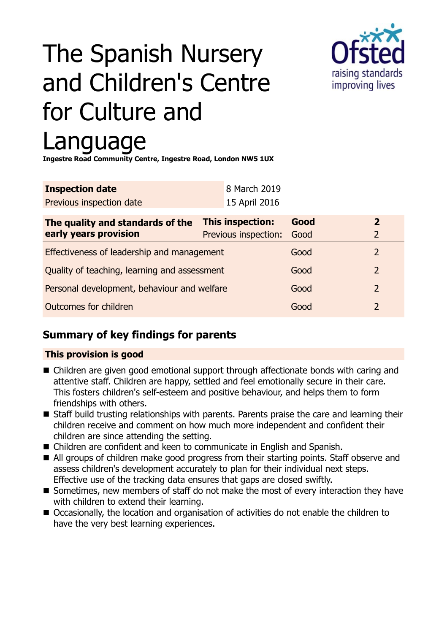# The Spanish Nursery and Children's Centre for Culture and Language



**Ingestre Road Community Centre, Ingestre Road, London NW5 1UX**

| <b>Inspection date</b>   | 8 March 2019  |
|--------------------------|---------------|
| Previous inspection date | 15 April 2016 |

| The quality and standards of the             | <b>This inspection:</b> | Good | 2             |
|----------------------------------------------|-------------------------|------|---------------|
| early years provision                        | Previous inspection:    | Good |               |
| Effectiveness of leadership and management   |                         | Good |               |
| Quality of teaching, learning and assessment |                         | Good | $\mathcal{P}$ |
| Personal development, behaviour and welfare  |                         | Good | $\mathcal{P}$ |
| Outcomes for children                        |                         | Good |               |

## **Summary of key findings for parents**

#### **This provision is good**

- Children are given good emotional support through affectionate bonds with caring and attentive staff. Children are happy, settled and feel emotionally secure in their care. This fosters children's self-esteem and positive behaviour, and helps them to form friendships with others.
- Staff build trusting relationships with parents. Parents praise the care and learning their children receive and comment on how much more independent and confident their children are since attending the setting.
- Children are confident and keen to communicate in English and Spanish.
- All groups of children make good progress from their starting points. Staff observe and assess children's development accurately to plan for their individual next steps. Effective use of the tracking data ensures that gaps are closed swiftly.
- Sometimes, new members of staff do not make the most of every interaction they have with children to extend their learning.
- Occasionally, the location and organisation of activities do not enable the children to have the very best learning experiences.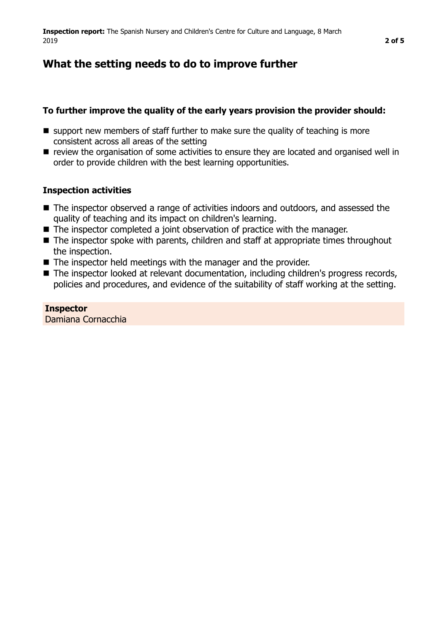# **What the setting needs to do to improve further**

### **To further improve the quality of the early years provision the provider should:**

- $\blacksquare$  support new members of staff further to make sure the quality of teaching is more consistent across all areas of the setting
- **n** review the organisation of some activities to ensure they are located and organised well in order to provide children with the best learning opportunities.

#### **Inspection activities**

- The inspector observed a range of activities indoors and outdoors, and assessed the quality of teaching and its impact on children's learning.
- $\blacksquare$  The inspector completed a joint observation of practice with the manager.
- $\blacksquare$  The inspector spoke with parents, children and staff at appropriate times throughout the inspection.
- $\blacksquare$  The inspector held meetings with the manager and the provider.
- The inspector looked at relevant documentation, including children's progress records, policies and procedures, and evidence of the suitability of staff working at the setting.

**Inspector** Damiana Cornacchia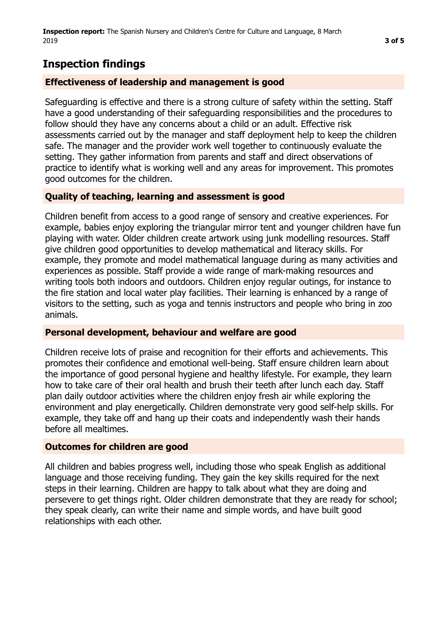# **Inspection findings**

## **Effectiveness of leadership and management is good**

Safeguarding is effective and there is a strong culture of safety within the setting. Staff have a good understanding of their safeguarding responsibilities and the procedures to follow should they have any concerns about a child or an adult. Effective risk assessments carried out by the manager and staff deployment help to keep the children safe. The manager and the provider work well together to continuously evaluate the setting. They gather information from parents and staff and direct observations of practice to identify what is working well and any areas for improvement. This promotes good outcomes for the children.

## **Quality of teaching, learning and assessment is good**

Children benefit from access to a good range of sensory and creative experiences. For example, babies enjoy exploring the triangular mirror tent and younger children have fun playing with water. Older children create artwork using junk modelling resources. Staff give children good opportunities to develop mathematical and literacy skills. For example, they promote and model mathematical language during as many activities and experiences as possible. Staff provide a wide range of mark-making resources and writing tools both indoors and outdoors. Children enjoy regular outings, for instance to the fire station and local water play facilities. Their learning is enhanced by a range of visitors to the setting, such as yoga and tennis instructors and people who bring in zoo animals.

## **Personal development, behaviour and welfare are good**

Children receive lots of praise and recognition for their efforts and achievements. This promotes their confidence and emotional well-being. Staff ensure children learn about the importance of good personal hygiene and healthy lifestyle. For example, they learn how to take care of their oral health and brush their teeth after lunch each day. Staff plan daily outdoor activities where the children enjoy fresh air while exploring the environment and play energetically. Children demonstrate very good self-help skills. For example, they take off and hang up their coats and independently wash their hands before all mealtimes.

## **Outcomes for children are good**

All children and babies progress well, including those who speak English as additional language and those receiving funding. They gain the key skills required for the next steps in their learning. Children are happy to talk about what they are doing and persevere to get things right. Older children demonstrate that they are ready for school; they speak clearly, can write their name and simple words, and have built good relationships with each other.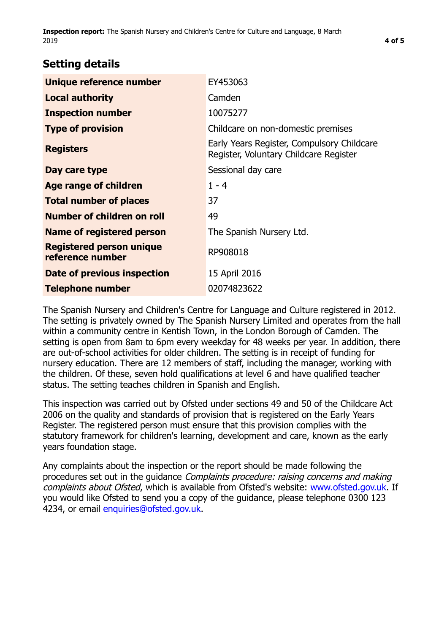**Inspection report:** The Spanish Nursery and Children's Centre for Culture and Language, 8 March 2019 **4 of [5](#page-4-0)**

## **Setting details**

| Unique reference number                             | EY453063                                                                             |
|-----------------------------------------------------|--------------------------------------------------------------------------------------|
| <b>Local authority</b>                              | Camden                                                                               |
| <b>Inspection number</b>                            | 10075277                                                                             |
| <b>Type of provision</b>                            | Childcare on non-domestic premises                                                   |
| <b>Registers</b>                                    | Early Years Register, Compulsory Childcare<br>Register, Voluntary Childcare Register |
| Day care type                                       | Sessional day care                                                                   |
| <b>Age range of children</b>                        | $1 - 4$                                                                              |
| <b>Total number of places</b>                       | 37                                                                                   |
| Number of children on roll                          | 49                                                                                   |
| Name of registered person                           | The Spanish Nursery Ltd.                                                             |
| <b>Registered person unique</b><br>reference number | RP908018                                                                             |
| Date of previous inspection                         | 15 April 2016                                                                        |
| <b>Telephone number</b>                             | 02074823622                                                                          |

The Spanish Nursery and Children's Centre for Language and Culture registered in 2012. The setting is privately owned by The Spanish Nursery Limited and operates from the hall within a community centre in Kentish Town, in the London Borough of Camden. The setting is open from 8am to 6pm every weekday for 48 weeks per year. In addition, there are out-of-school activities for older children. The setting is in receipt of funding for nursery education. There are 12 members of staff, including the manager, working with the children. Of these, seven hold qualifications at level 6 and have qualified teacher status. The setting teaches children in Spanish and English.

This inspection was carried out by Ofsted under sections 49 and 50 of the Childcare Act 2006 on the quality and standards of provision that is registered on the Early Years Register. The registered person must ensure that this provision complies with the statutory framework for children's learning, development and care, known as the early years foundation stage.

Any complaints about the inspection or the report should be made following the procedures set out in the quidance *Complaints procedure: raising concerns and making* complaints about Ofsted, which is available from Ofsted's website: www.ofsted.gov.uk. If you would like Ofsted to send you a copy of the guidance, please telephone 0300 123 4234, or email [enquiries@ofsted.gov.uk.](mailto:enquiries@ofsted.gov.uk)